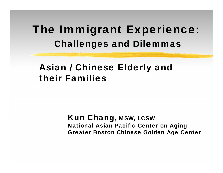### The Immigrant Experience: Challenges and Dilemmas

#### Asian / Chinese Elderly and their Families

Kun Chang, MSW, LCSW National Asian Pacific Center on Aging Greater Boston Chinese Golden Age Center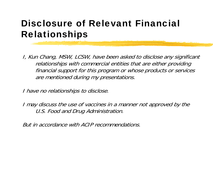#### Disclosure of Relevant Financial Relationships

I, Kun Chang, MSW, LCSW, have been asked to disclose any significant relationships with commercial entities that are either providing financial support for this program or whose products or services are mentioned during my presentations.

I have no relationships to disclose.

I may discuss the use of vaccines in a manner not approved by the U.S. Food and Drug Administration.

But in accordance with ACIP recommendations.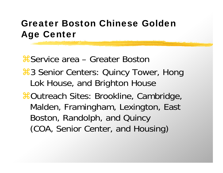#### Greater Boston Chinese Golden Age Center

**X** Service area – Greater Boston **3 Senior Centers: Quincy Tower, Hong** Lok House, and Brighton House **#Outreach Sites: Brookline, Cambridge,** Malden, Framingham, Lexington, East Boston, Randolph, and Quincy (COA, Senior Center, and Housing)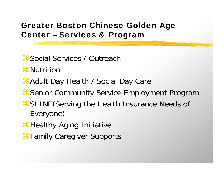#### Greater Boston Chinese Golden Age Center – Services & Program

 $\frac{1}{25}$  Social Services / Outreach

**H** Nutrition

**X Adult Day Health / Social Day Care** 

**& Senior Community Service Employment Program** 

- **& SHINE (Serving the Health Insurance Needs of** Everyone)
- **H** Healthy Aging Initiative
- Family Caregiver Supports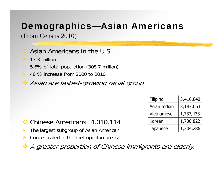### Demographics—Asian Americans

(From Census 2010)

Asian Americans in the U.S.

17.3 million

- $\blacktriangleright$ 5.6% of total population (308.7 million)
- **► 46 % increase from 2000 to 2010**
- Asian are fastest-growing racial group

|  | Filipino          | 3,416,840 |
|--|-------------------|-----------|
|  | Asian Indian      | 3,183,063 |
|  | <b>Vietnamese</b> | 1,737,433 |
|  | Korean            | 1,706,822 |
|  | Japanese          | 1,304,286 |

- Chinese Americans: 4,010,114
- $\blacktriangleright$ The largest subgroup of Asian American
- $\blacktriangleright$ Concentrated in the metropolitan areas:
- A greater proportion of Chinese immigrants are elderly.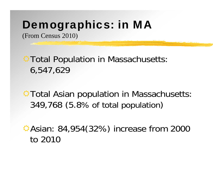## Demographics: in MA

(From Census 2010)

 $\triangle$  Total Population in Massachusetts: 6,547,629

 $\bigcirc$  Total Asian population in Massachusetts: 349,768 (5.8% of total population )

Asian: 84,954(32%) increase from 2000 to 2010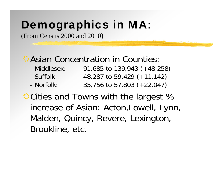## Demographics in MA:

(From Census 2000 and 2010)

#### Asian Concentration in Counties:

- Middlesex: 91,685 to 139,943 (+48,258)
- Suffolk : 48,287 to 59,429 (+11,142)
- Norfolk: Norfolk: 35,756 to 57,803 (+22,047)

**☆Cities and Towns with the largest %** increase of Asian: Acton,Lowell, Lynn, Malden, Quincy, Revere, Lexington, Brookline, etc.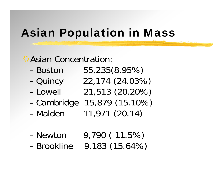### Asian Population in Mass

#### Asian Concentration:

- Boston
- -
- Lowell
- -
- Malden

 Boston 55,235(8.95%) Quincy 22,174 (24.03%) Lowell 21,513 (20.20%)

- Cambridge 15,879 (15.10%)
	- Malden 11,971 (20.14)
- Newton

- Brookline

 Newton 9,790 ( 11.5%) Brookline 9,183 (15.64%)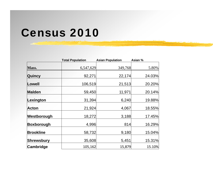### Census 2010

|                  | <b>Total Population</b> | <b>Asian Population</b> | Asian % |
|------------------|-------------------------|-------------------------|---------|
| Mass.            | 6,547,629               | 349,768                 | 5.80%   |
| <b>Quincy</b>    | 92,271                  | 22,174                  | 24.03%  |
| Lowell           | 106,519                 | 21,513                  | 20.20%  |
| <b>Malden</b>    | 59,450                  | 11,971                  | 20.14%  |
| Lexington        | 31,394                  | 6,240                   | 19.88%  |
| <b>Acton</b>     | 21,924                  | 4,067                   | 18.55%  |
| Westborough      | 18,272                  | 3,188                   | 17.45%  |
| Boxborough       | 4,996                   | 814                     | 16.29%  |
| <b>Brookline</b> | 58,732                  | 9,180                   | 15.04%  |
| Shrewsbury       | 35,608                  | 5,451                   | 15.31%  |
| Cambridge        | 105,162                 | 15,879                  | 15.10%  |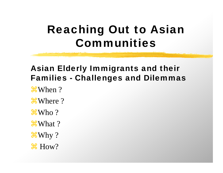## Reaching Out to Asian Communities

#### Asian Elderly Immigrants and their Families - Challenges and Dilemmas

- **\\Goma** When ?
- **\\tiggerallY** Where ?
- $\frac{1}{2}$ Who?
- **\\Gover\**What ?
- $\frac{1}{2}$ Why ?
- $\text{How?}$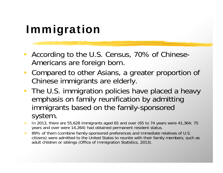# Immigration

- According to the U.S. Census, 70% of Chinese-Americans are foreign born.
- $\bullet$  Compared to other Asians, a greater proportion of Chinese immigrants are elderly.
- • The U.S. immigration policies have placed a heavy emphasis on family reunification by admitting immigrants based on the family-sponsored system.
- $\blacktriangleright$  In 2013, there are 55,628 immigrants aged 65 and over (65 to 74 years were 41,364; 75 years and over were 14,264) had obtained permanent resident status.
- ▶ 89% of them (combine family-sponsored preferences and immediate relatives of U.S. citizens) were admitted to the United States to reunite with their family members, such as adult children or siblings (Office of Immigration Statistics, 2013).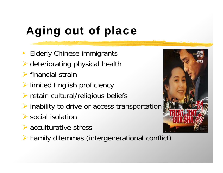# Aging out of place

- •Elderly Chinese immigrants
- deteriorating physical health
- $\triangleright$  financial strain
- **EXA** limited English proficiency
- retain cultural/religious beliefs
- $\triangleright$  inability to drive or access transportation
- $\triangleright$  social isolation
- **▶ acculturative stress**
- Family dilemmas (intergenerational conflict)

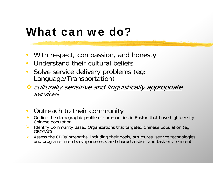### What can we do?

- $\bullet$ With respect, compassion, and honesty
- $\bullet$ Understand their cultural beliefs
- $\bullet$ Solve service delivery problems (eg: Language/Transportation)
- **Culturally sensitive and linguistically appropriate** services
- •Outreach to their community
- Outline the demographic profile of communities in Boston that have high density Chinese population.
- Identify Community Based Organizations that targeted Chinese population (eg: GBCGAC)
- Assess the CBOs' strengths, including their goals, structures, service technologies and programs, membership interests and characteristics, and task environment.